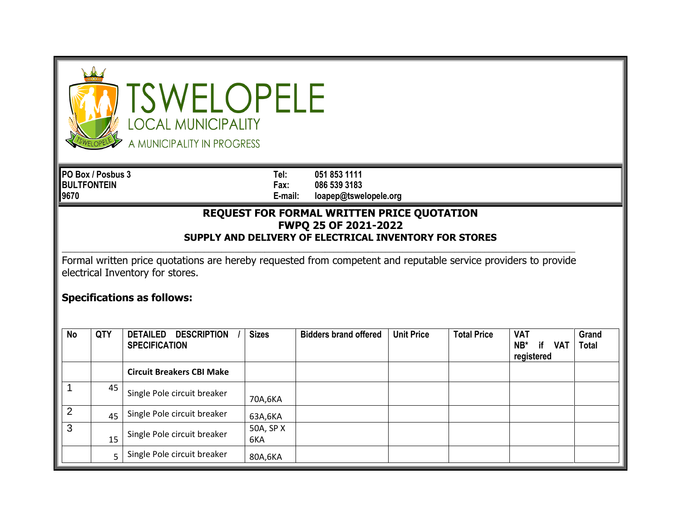| <b>TSWELOPELE</b><br><b>LOCAL MUNICIPALITY</b><br>A MUNICIPALITY IN PROGRESS                                                                                                                                                                                              |     |                                              |                  |                              |                   |                    |                                        |                       |  |  |
|---------------------------------------------------------------------------------------------------------------------------------------------------------------------------------------------------------------------------------------------------------------------------|-----|----------------------------------------------|------------------|------------------------------|-------------------|--------------------|----------------------------------------|-----------------------|--|--|
| PO Box / Posbus 3<br><b>BULTFONTEIN</b>                                                                                                                                                                                                                                   |     |                                              | Tel:<br>Fax:     | 051 853 1111<br>086 539 3183 |                   |                    |                                        |                       |  |  |
| 9670<br>E-mail:                                                                                                                                                                                                                                                           |     |                                              |                  | loapep@tswelopele.org        |                   |                    |                                        |                       |  |  |
| FWPQ 25 OF 2021-2022<br>SUPPLY AND DELIVERY OF ELECTRICAL INVENTORY FOR STORES<br>Formal written price quotations are hereby requested from competent and reputable service providers to provide<br>electrical Inventory for stores.<br><b>Specifications as follows:</b> |     |                                              |                  |                              |                   |                    |                                        |                       |  |  |
| <b>No</b>                                                                                                                                                                                                                                                                 | QTY | DETAILED DESCRIPTION<br><b>SPECIFICATION</b> | <b>Sizes</b>     | <b>Bidders brand offered</b> | <b>Unit Price</b> | <b>Total Price</b> | <b>VAT</b><br>NB* if VAT<br>registered | Grand<br><b>Total</b> |  |  |
|                                                                                                                                                                                                                                                                           |     | <b>Circuit Breakers CBI Make</b>             |                  |                              |                   |                    |                                        |                       |  |  |
| 1                                                                                                                                                                                                                                                                         | 45  | Single Pole circuit breaker                  | 70A,6KA          |                              |                   |                    |                                        |                       |  |  |
| $\mathbf{2}$                                                                                                                                                                                                                                                              | 45  | Single Pole circuit breaker                  | 63A,6KA          |                              |                   |                    |                                        |                       |  |  |
| 3                                                                                                                                                                                                                                                                         | 15  | Single Pole circuit breaker                  | 50A, SP X<br>6KA |                              |                   |                    |                                        |                       |  |  |
|                                                                                                                                                                                                                                                                           | 5   | Single Pole circuit breaker                  | 80A,6KA          |                              |                   |                    |                                        |                       |  |  |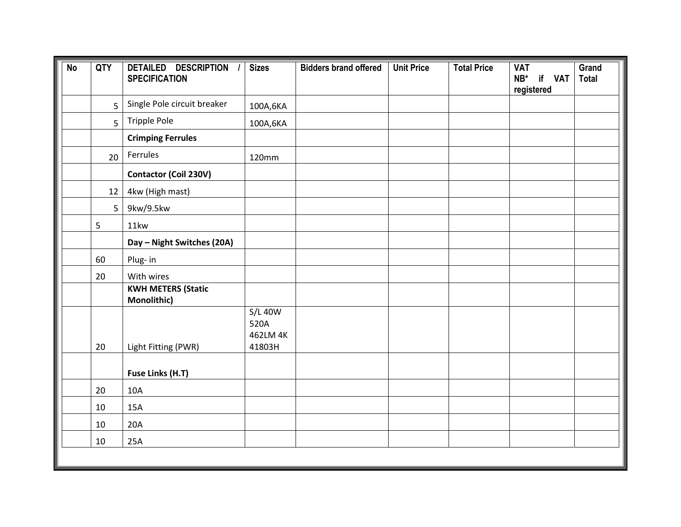| <b>No</b> | QTY             | DETAILED DESCRIPTION<br><b>SPECIFICATION</b> | <b>Sizes</b>                                 | <b>Bidders brand offered</b> | <b>Unit Price</b> | <b>Total Price</b> | <b>VAT</b><br>$NB^*$<br>if VAT<br>registered | Grand<br><b>Total</b> |
|-----------|-----------------|----------------------------------------------|----------------------------------------------|------------------------------|-------------------|--------------------|----------------------------------------------|-----------------------|
|           | 5 <sup>1</sup>  | Single Pole circuit breaker                  | 100A,6KA                                     |                              |                   |                    |                                              |                       |
|           | 5 <sup>1</sup>  | <b>Tripple Pole</b>                          | 100A,6KA                                     |                              |                   |                    |                                              |                       |
|           |                 | <b>Crimping Ferrules</b>                     |                                              |                              |                   |                    |                                              |                       |
|           | 20 <sup>1</sup> | Ferrules                                     | 120mm                                        |                              |                   |                    |                                              |                       |
|           |                 | Contactor (Coil 230V)                        |                                              |                              |                   |                    |                                              |                       |
|           | 12              | 4kw (High mast)                              |                                              |                              |                   |                    |                                              |                       |
|           | 5               | 9kw/9.5kw                                    |                                              |                              |                   |                    |                                              |                       |
|           | 5               | 11kw                                         |                                              |                              |                   |                    |                                              |                       |
|           |                 | Day - Night Switches (20A)                   |                                              |                              |                   |                    |                                              |                       |
|           | 60              | Plug-in                                      |                                              |                              |                   |                    |                                              |                       |
|           | 20              | With wires                                   |                                              |                              |                   |                    |                                              |                       |
|           |                 | <b>KWH METERS (Static</b><br>Monolithic)     |                                              |                              |                   |                    |                                              |                       |
|           | 20              | Light Fitting (PWR)                          | <b>S/L 40W</b><br>520A<br>462LM 4K<br>41803H |                              |                   |                    |                                              |                       |
|           |                 | Fuse Links (H.T)                             |                                              |                              |                   |                    |                                              |                       |
|           | 20              | 10A                                          |                                              |                              |                   |                    |                                              |                       |
|           | 10              | 15A                                          |                                              |                              |                   |                    |                                              |                       |
|           | 10              | 20A                                          |                                              |                              |                   |                    |                                              |                       |
|           | 10              | 25A                                          |                                              |                              |                   |                    |                                              |                       |
|           |                 |                                              |                                              |                              |                   |                    |                                              |                       |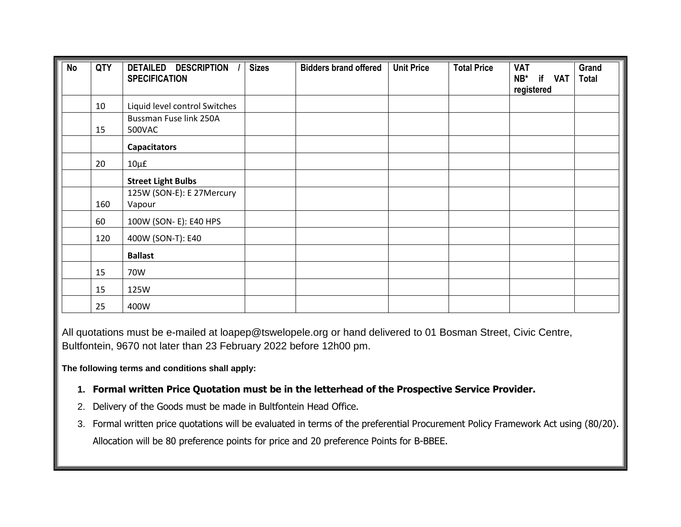| <b>No</b> | QTY | <b>DETAILED</b><br><b>DESCRIPTION</b><br><b>SPECIFICATION</b> | <b>Sizes</b> | <b>Bidders brand offered</b> | <b>Unit Price</b> | <b>Total Price</b> | <b>VAT</b><br>if<br>$NB^*$<br><b>VAT</b><br>registered | Grand<br><b>Total</b> |
|-----------|-----|---------------------------------------------------------------|--------------|------------------------------|-------------------|--------------------|--------------------------------------------------------|-----------------------|
|           | 10  | Liquid level control Switches                                 |              |                              |                   |                    |                                                        |                       |
|           |     | Bussman Fuse link 250A                                        |              |                              |                   |                    |                                                        |                       |
|           | 15  | 500VAC                                                        |              |                              |                   |                    |                                                        |                       |
|           |     | <b>Capacitators</b>                                           |              |                              |                   |                    |                                                        |                       |
|           | 20  | $10 \mu$ £                                                    |              |                              |                   |                    |                                                        |                       |
|           |     | <b>Street Light Bulbs</b>                                     |              |                              |                   |                    |                                                        |                       |
|           |     | 125W (SON-E): E 27Mercury                                     |              |                              |                   |                    |                                                        |                       |
|           | 160 | Vapour                                                        |              |                              |                   |                    |                                                        |                       |
|           | 60  | 100W (SON- E): E40 HPS                                        |              |                              |                   |                    |                                                        |                       |
|           | 120 | 400W (SON-T): E40                                             |              |                              |                   |                    |                                                        |                       |
|           |     | <b>Ballast</b>                                                |              |                              |                   |                    |                                                        |                       |
|           | 15  | 70W                                                           |              |                              |                   |                    |                                                        |                       |
|           | 15  | 125W                                                          |              |                              |                   |                    |                                                        |                       |
|           | 25  | 400W                                                          |              |                              |                   |                    |                                                        |                       |

All quotations must be e-mailed at loapep@tswelopele.org or hand delivered to 01 Bosman Street, Civic Centre, Bultfontein, 9670 not later than 23 February 2022 before 12h00 pm.

**The following terms and conditions shall apply:**

- **1. Formal written Price Quotation must be in the letterhead of the Prospective Service Provider.**
- 2. Delivery of the Goods must be made in Bultfontein Head Office.
- 3. Formal written price quotations will be evaluated in terms of the preferential Procurement Policy Framework Act using (80/20). Allocation will be 80 preference points for price and 20 preference Points for B-BBEE.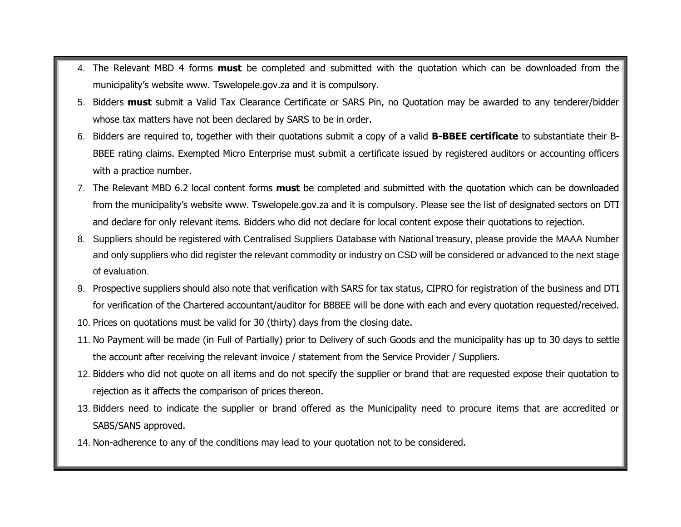- 4. The Relevant MBD 4 forms **must** be completed and submitted with the quotation which can be downloaded from the municipality's website www. Tswelopele.gov.za and it is compulsory.
- 5. Bidders **must** submit a Valid Tax Clearance Certificate or SARS Pin, no Quotation may be awarded to any tenderer/bidder whose tax matters have not been declared by SARS to be in order.
- 6. Bidders are required to, together with their quotations submit a copy of a valid **B-BBEE certificate** to substantiate their B-BBEE rating claims. Exempted Micro Enterprise must submit a certificate issued by registered auditors or accounting officers with a practice number.
- 7. The Relevant MBD 6.2 local content forms **must** be completed and submitted with the quotation which can be downloaded from the municipality's website www. Tswelopele.gov.za and it is compulsory. Please see the list of designated sectors on DTI and declare for only relevant items. Bidders who did not declare for local content expose their quotations to rejection.
- 8. Suppliers should be registered with Centralised Suppliers Database with National treasury, please provide the MAAA Number and only suppliers who did register the relevant commodity or industry on CSD will be considered or advanced to the next stage of evaluation.
- 9. Prospective suppliers should also note that verification with SARS for tax status, CIPRO for registration of the business and DTI for verification of the Chartered accountant/auditor for BBBEE will be done with each and every quotation requested/received.
- 10. Prices on quotations must be valid for 30 (thirty) days from the closing date.
- 11. No Payment will be made (in Full of Partially) prior to Delivery of such Goods and the municipality has up to 30 days to settle the account after receiving the relevant invoice / statement from the Service Provider / Suppliers.
- 12. Bidders who did not quote on all items and do not specify the supplier or brand that are requested expose their quotation to rejection as it affects the comparison of prices thereon.
- 13. Bidders need to indicate the supplier or brand offered as the Municipality need to procure items that are accredited or SABS/SANS approved.
- 14. Non-adherence to any of the conditions may lead to your quotation not to be considered.